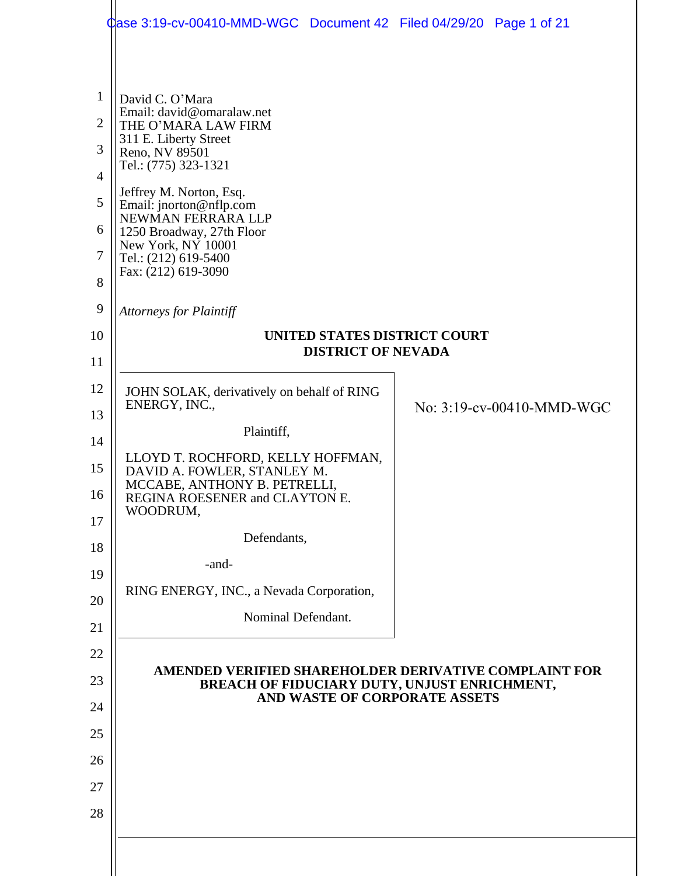|                                                            | Case 3:19-cv-00410-MMD-WGC Document 42 Filed 04/29/20 Page 1 of 21                                                                                                |                           |
|------------------------------------------------------------|-------------------------------------------------------------------------------------------------------------------------------------------------------------------|---------------------------|
| $\mathbf{1}$<br>$\overline{2}$<br>3<br>$\overline{4}$<br>5 | David C. O'Mara<br>Email: david@omaralaw.net<br>THE O'MARA LAW FIRM<br>311 E. Liberty Street<br>Reno, NV 89501<br>Tel.: (775) 323-1321<br>Jeffrey M. Norton, Esq. |                           |
| 6<br>$\overline{7}$<br>$8\,$                               | Email: jnorton@nflp.com<br>NEWMAN FERRARA LLP<br>1250 Broadway, 27th Floor<br>New York, NY 10001<br>Tel.: (212) 619-5400<br>Fax: (212) 619-3090                   |                           |
| 9                                                          | <b>Attorneys for Plaintiff</b>                                                                                                                                    |                           |
| 10                                                         | UNITED STATES DISTRICT COURT<br><b>DISTRICT OF NEVADA</b>                                                                                                         |                           |
| 11                                                         |                                                                                                                                                                   |                           |
| 12                                                         | JOHN SOLAK, derivatively on behalf of RING<br>ENERGY, INC.,                                                                                                       | No: 3:19-cv-00410-MMD-WGC |
| 13<br>14                                                   | Plaintiff,                                                                                                                                                        |                           |
| 15                                                         | LLOYD T. ROCHFORD, KELLY HOFFMAN,                                                                                                                                 |                           |
| 16                                                         | DAVID A. FOWLER, STANLEY M.<br>MCCABE, ANTHONY B. PETRELLI,<br>REGINA ROESENER and CLAYTON E.<br>WOODRUM,                                                         |                           |
| 17                                                         |                                                                                                                                                                   |                           |
| 18                                                         | Defendants,                                                                                                                                                       |                           |
| 19                                                         | -and-                                                                                                                                                             |                           |
| 20                                                         | RING ENERGY, INC., a Nevada Corporation,                                                                                                                          |                           |
| 21                                                         | Nominal Defendant.                                                                                                                                                |                           |
| 22                                                         |                                                                                                                                                                   |                           |
| 23                                                         | AMENDED VERIFIED SHAREHOLDER DERIVATIVE COMPLAINT FOR<br>BREACH OF FIDUCIARY DUTY, UNJUST ENRICHMENT,                                                             |                           |
| 24                                                         | AND WASTE OF CORPORATE ASSETS                                                                                                                                     |                           |
| 25                                                         |                                                                                                                                                                   |                           |
| 26                                                         |                                                                                                                                                                   |                           |
| 27                                                         |                                                                                                                                                                   |                           |
| 28                                                         |                                                                                                                                                                   |                           |
|                                                            |                                                                                                                                                                   |                           |
|                                                            |                                                                                                                                                                   |                           |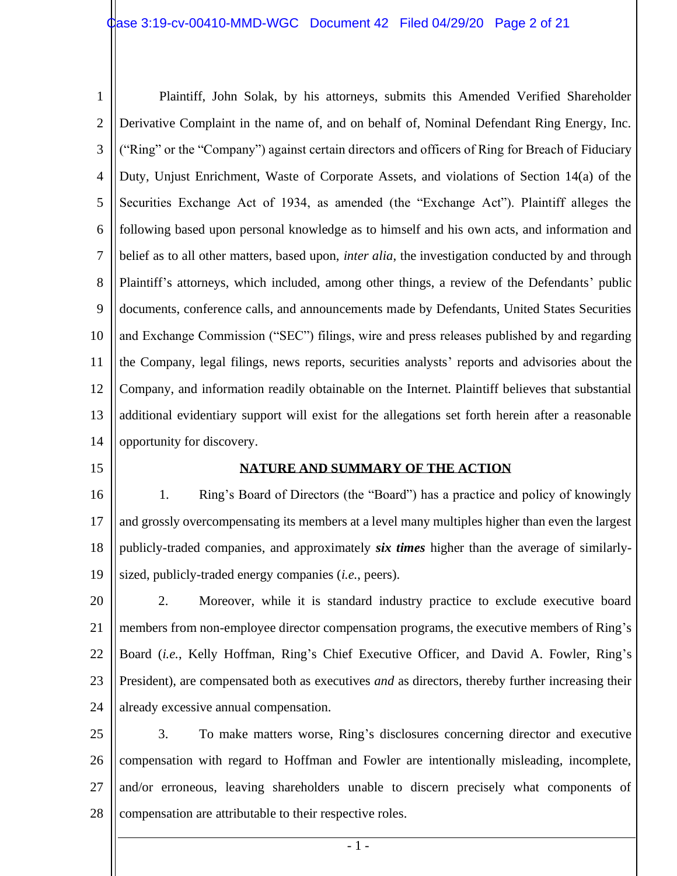1 2 3 4 5 6 7 8 9 10 11 12 13 14 Plaintiff, John Solak, by his attorneys, submits this Amended Verified Shareholder Derivative Complaint in the name of, and on behalf of, Nominal Defendant Ring Energy, Inc. ("Ring" or the "Company") against certain directors and officers of Ring for Breach of Fiduciary Duty, Unjust Enrichment, Waste of Corporate Assets, and violations of Section 14(a) of the Securities Exchange Act of 1934, as amended (the "Exchange Act"). Plaintiff alleges the following based upon personal knowledge as to himself and his own acts, and information and belief as to all other matters, based upon, *inter alia*, the investigation conducted by and through Plaintiff's attorneys, which included, among other things, a review of the Defendants' public documents, conference calls, and announcements made by Defendants, United States Securities and Exchange Commission ("SEC") filings, wire and press releases published by and regarding the Company, legal filings, news reports, securities analysts' reports and advisories about the Company, and information readily obtainable on the Internet. Plaintiff believes that substantial additional evidentiary support will exist for the allegations set forth herein after a reasonable opportunity for discovery.

15

## **NATURE AND SUMMARY OF THE ACTION**

16 17 18 19 1. Ring's Board of Directors (the "Board") has a practice and policy of knowingly and grossly overcompensating its members at a level many multiples higher than even the largest publicly-traded companies, and approximately *six times* higher than the average of similarlysized, publicly-traded energy companies (*i.e.*, peers).

20 21 22 23 24 2. Moreover, while it is standard industry practice to exclude executive board members from non-employee director compensation programs, the executive members of Ring's Board (*i.e.*, Kelly Hoffman, Ring's Chief Executive Officer, and David A. Fowler, Ring's President), are compensated both as executives *and* as directors, thereby further increasing their already excessive annual compensation.

25 26 27 28 3. To make matters worse, Ring's disclosures concerning director and executive compensation with regard to Hoffman and Fowler are intentionally misleading, incomplete, and/or erroneous, leaving shareholders unable to discern precisely what components of compensation are attributable to their respective roles.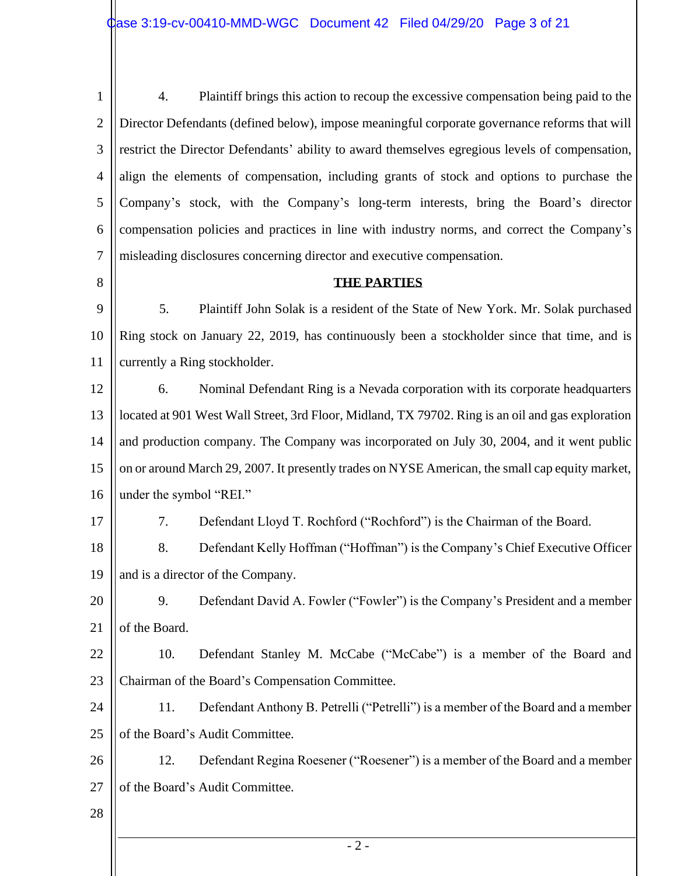1 2 3 4 5 6 7 4. Plaintiff brings this action to recoup the excessive compensation being paid to the Director Defendants (defined below), impose meaningful corporate governance reforms that will restrict the Director Defendants' ability to award themselves egregious levels of compensation, align the elements of compensation, including grants of stock and options to purchase the Company's stock, with the Company's long-term interests, bring the Board's director compensation policies and practices in line with industry norms, and correct the Company's misleading disclosures concerning director and executive compensation.

## 8

## **THE PARTIES**

9 10 11 5. Plaintiff John Solak is a resident of the State of New York. Mr. Solak purchased Ring stock on January 22, 2019, has continuously been a stockholder since that time, and is currently a Ring stockholder.

12 13 14 15 16 6. Nominal Defendant Ring is a Nevada corporation with its corporate headquarters located at 901 West Wall Street, 3rd Floor, Midland, TX 79702. Ring is an oil and gas exploration and production company. The Company was incorporated on July 30, 2004, and it went public on or around March 29, 2007. It presently trades on NYSE American, the small cap equity market, under the symbol "REI."

17

7. Defendant Lloyd T. Rochford ("Rochford") is the Chairman of the Board.

18 19 8. Defendant Kelly Hoffman ("Hoffman") is the Company's Chief Executive Officer and is a director of the Company.

20 21 9. Defendant David A. Fowler ("Fowler") is the Company's President and a member of the Board.

22 23 10. Defendant Stanley M. McCabe ("McCabe") is a member of the Board and Chairman of the Board's Compensation Committee.

24 25 11. Defendant Anthony B. Petrelli ("Petrelli") is a member of the Board and a member of the Board's Audit Committee.

26 27 12. Defendant Regina Roesener ("Roesener") is a member of the Board and a member of the Board's Audit Committee.

28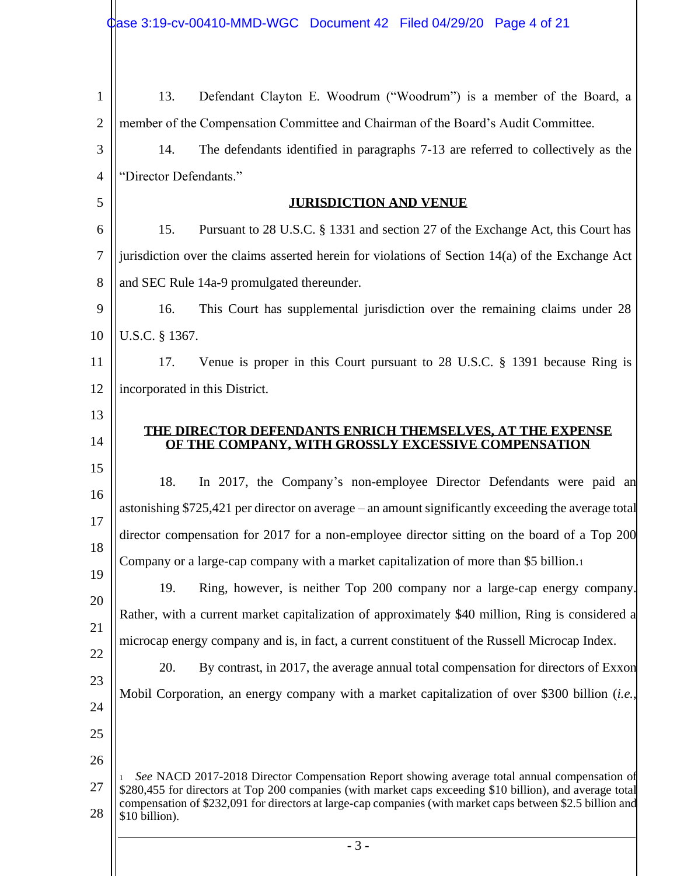| $\mathbf{1}$   | Defendant Clayton E. Woodrum ("Woodrum") is a member of the Board, a<br>13.                                                                                                                                             |  |  |  |
|----------------|-------------------------------------------------------------------------------------------------------------------------------------------------------------------------------------------------------------------------|--|--|--|
| $\overline{2}$ | member of the Compensation Committee and Chairman of the Board's Audit Committee.                                                                                                                                       |  |  |  |
| 3              | The defendants identified in paragraphs 7-13 are referred to collectively as the<br>14.                                                                                                                                 |  |  |  |
| $\overline{4}$ | "Director Defendants."                                                                                                                                                                                                  |  |  |  |
| 5              | <b>JURISDICTION AND VENUE</b>                                                                                                                                                                                           |  |  |  |
| 6              | Pursuant to 28 U.S.C. § 1331 and section 27 of the Exchange Act, this Court has<br>15.                                                                                                                                  |  |  |  |
| $\overline{7}$ | jurisdiction over the claims asserted herein for violations of Section 14(a) of the Exchange Act                                                                                                                        |  |  |  |
| 8              | and SEC Rule 14a-9 promulgated thereunder.                                                                                                                                                                              |  |  |  |
| 9              | This Court has supplemental jurisdiction over the remaining claims under 28<br>16.                                                                                                                                      |  |  |  |
| 10             | U.S.C. § 1367.                                                                                                                                                                                                          |  |  |  |
| 11             | Venue is proper in this Court pursuant to 28 U.S.C. § 1391 because Ring is<br>17.                                                                                                                                       |  |  |  |
| 12             | incorporated in this District.                                                                                                                                                                                          |  |  |  |
| 13             |                                                                                                                                                                                                                         |  |  |  |
| 14             | THE DIRECTOR DEFENDANTS ENRICH THEMSELVES, AT THE EXPENSE<br>OF THE COMPANY, WITH GROSSLY EXCESSIVE COMPENSATION                                                                                                        |  |  |  |
| 15             | 18.<br>In 2017, the Company's non-employee Director Defendants were paid an                                                                                                                                             |  |  |  |
| 16             | astonishing \$725,421 per director on average – an amount significantly exceeding the average total                                                                                                                     |  |  |  |
| 17             | director compensation for 2017 for a non-employee director sitting on the board of a Top 200                                                                                                                            |  |  |  |
| 18             | Company or a large-cap company with a market capitalization of more than \$5 billion.                                                                                                                                   |  |  |  |
| 19             | Ring, however, is neither Top 200 company nor a large-cap energy company.<br>19.                                                                                                                                        |  |  |  |
| 20             | Rather, with a current market capitalization of approximately \$40 million, Ring is considered a                                                                                                                        |  |  |  |
| 21             | microcap energy company and is, in fact, a current constituent of the Russell Microcap Index.                                                                                                                           |  |  |  |
| 22             | 20.<br>By contrast, in 2017, the average annual total compensation for directors of Exxon                                                                                                                               |  |  |  |
| 23             | Mobil Corporation, an energy company with a market capitalization of over \$300 billion (i.e.,                                                                                                                          |  |  |  |
| 24             |                                                                                                                                                                                                                         |  |  |  |
| 25             |                                                                                                                                                                                                                         |  |  |  |
| 26             | See NACD 2017-2018 Director Compensation Report showing average total annual compensation of                                                                                                                            |  |  |  |
| 27             | \$280,455 for directors at Top 200 companies (with market caps exceeding \$10 billion), and average total<br>compensation of \$232,091 for directors at large-cap companies (with market caps between \$2.5 billion and |  |  |  |
| 28             | \$10 billion).                                                                                                                                                                                                          |  |  |  |
|                | $-3-$                                                                                                                                                                                                                   |  |  |  |
|                |                                                                                                                                                                                                                         |  |  |  |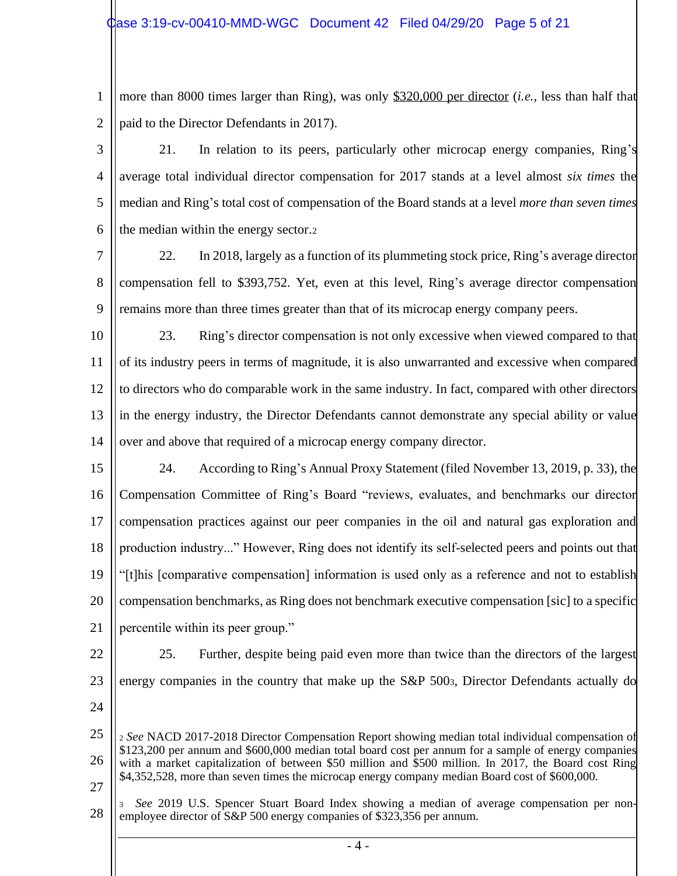## $\alpha$ ase 3:19-cv-00410-MMD-WGC Document 42 Filed 04/29/20 Page 5 of 21

1 2 more than 8000 times larger than Ring), was only \$320,000 per director (*i.e.*, less than half that paid to the Director Defendants in 2017).

3 4 5 6 21. In relation to its peers, particularly other microcap energy companies, Ring's average total individual director compensation for 2017 stands at a level almost *six times* the median and Ring's total cost of compensation of the Board stands at a level *more than seven times* the median within the energy sector.<sup>2</sup>

7 8 9 22. In 2018, largely as a function of its plummeting stock price, Ring's average director compensation fell to \$393,752. Yet, even at this level, Ring's average director compensation remains more than three times greater than that of its microcap energy company peers.

10 11 12 13 14 23. Ring's director compensation is not only excessive when viewed compared to that of its industry peers in terms of magnitude, it is also unwarranted and excessive when compared to directors who do comparable work in the same industry. In fact, compared with other directors in the energy industry, the Director Defendants cannot demonstrate any special ability or value over and above that required of a microcap energy company director.

15 16 17 18 19 20 21 24. According to Ring's Annual Proxy Statement (filed November 13, 2019, p. 33), the Compensation Committee of Ring's Board "reviews, evaluates, and benchmarks our director compensation practices against our peer companies in the oil and natural gas exploration and production industry..." However, Ring does not identify its self-selected peers and points out that "[t]his [comparative compensation] information is used only as a reference and not to establish compensation benchmarks, as Ring does not benchmark executive compensation [sic] to a specific percentile within its peer group."

- 22
- 23

25. Further, despite being paid even more than twice than the directors of the largest energy companies in the country that make up the S&P 5003, Director Defendants actually do

24

25 26 27 <sup>2</sup> *See* NACD 2017-2018 Director Compensation Report showing median total individual compensation of \$123,200 per annum and \$600,000 median total board cost per annum for a sample of energy companies with a market capitalization of between \$50 million and \$500 million. In 2017, the Board cost Ring \$4,352,528, more than seven times the microcap energy company median Board cost of \$600,000.

28 <sup>3</sup> *See* 2019 U.S. Spencer Stuart Board Index showing a median of average compensation per nonemployee director of S&P 500 energy companies of \$323,356 per annum.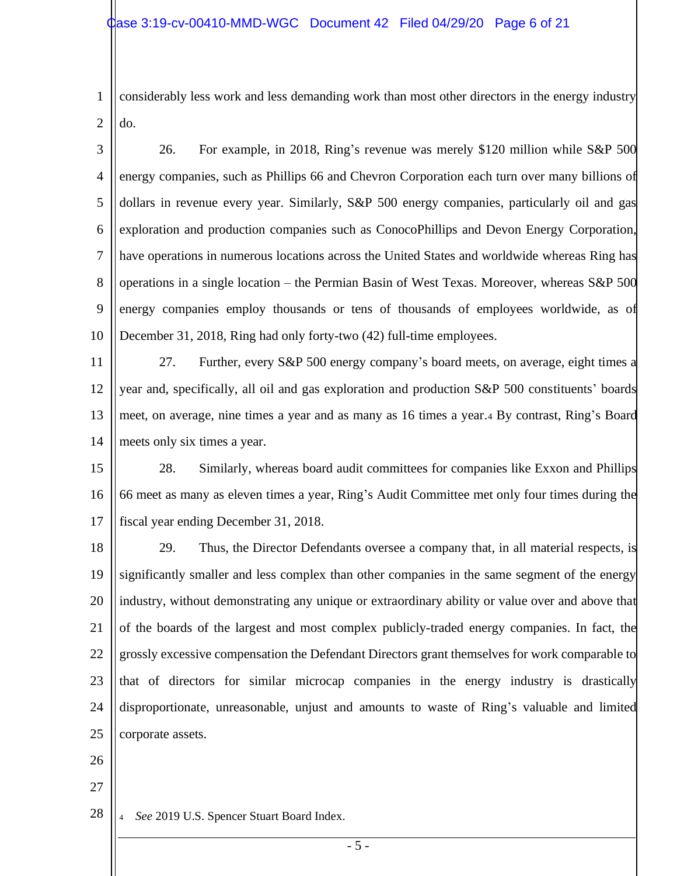1 2 considerably less work and less demanding work than most other directors in the energy industry do.

3 4 5 6 7 8 9 10 26. For example, in 2018, Ring's revenue was merely \$120 million while S&P 500 energy companies, such as Phillips 66 and Chevron Corporation each turn over many billions of dollars in revenue every year. Similarly, S&P 500 energy companies, particularly oil and gas exploration and production companies such as ConocoPhillips and Devon Energy Corporation, have operations in numerous locations across the United States and worldwide whereas Ring has operations in a single location – the Permian Basin of West Texas. Moreover, whereas S&P 500 energy companies employ thousands or tens of thousands of employees worldwide, as of December 31, 2018, Ring had only forty-two (42) full-time employees.

11 12 13 14 27. Further, every S&P 500 energy company's board meets, on average, eight times a year and, specifically, all oil and gas exploration and production S&P 500 constituents' boards meet, on average, nine times a year and as many as 16 times a year.<sup>4</sup> By contrast, Ring's Board meets only six times a year.

15 16 17 28. Similarly, whereas board audit committees for companies like Exxon and Phillips 66 meet as many as eleven times a year, Ring's Audit Committee met only four times during the fiscal year ending December 31, 2018.

18 19 20 21 22 23 24 25 29. Thus, the Director Defendants oversee a company that, in all material respects, is significantly smaller and less complex than other companies in the same segment of the energy industry, without demonstrating any unique or extraordinary ability or value over and above that of the boards of the largest and most complex publicly-traded energy companies. In fact, the grossly excessive compensation the Defendant Directors grant themselves for work comparable to that of directors for similar microcap companies in the energy industry is drastically disproportionate, unreasonable, unjust and amounts to waste of Ring's valuable and limited corporate assets.

- 26
- 27

28 <sup>4</sup> *See* 2019 U.S. Spencer Stuart Board Index.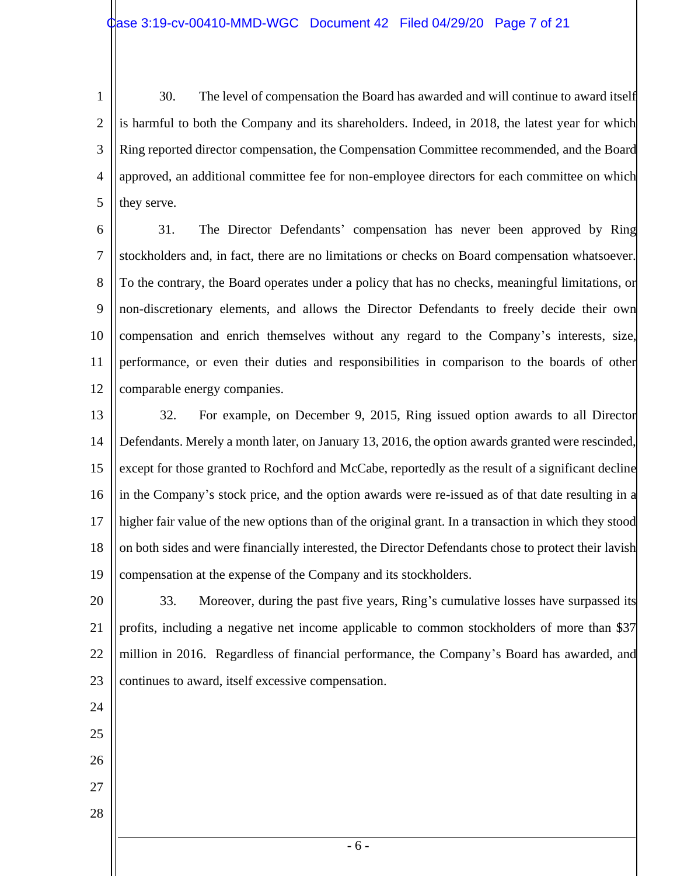1 2 3 4 5 30. The level of compensation the Board has awarded and will continue to award itself is harmful to both the Company and its shareholders. Indeed, in 2018, the latest year for which Ring reported director compensation, the Compensation Committee recommended, and the Board approved, an additional committee fee for non-employee directors for each committee on which they serve.

6 7 8 9 10 11 12 31. The Director Defendants' compensation has never been approved by Ring stockholders and, in fact, there are no limitations or checks on Board compensation whatsoever. To the contrary, the Board operates under a policy that has no checks, meaningful limitations, or non-discretionary elements, and allows the Director Defendants to freely decide their own compensation and enrich themselves without any regard to the Company's interests, size, performance, or even their duties and responsibilities in comparison to the boards of other comparable energy companies.

13 14 15 16 17 18 19 32. For example, on December 9, 2015, Ring issued option awards to all Director Defendants. Merely a month later, on January 13, 2016, the option awards granted were rescinded, except for those granted to Rochford and McCabe, reportedly as the result of a significant decline in the Company's stock price, and the option awards were re-issued as of that date resulting in a higher fair value of the new options than of the original grant. In a transaction in which they stood on both sides and were financially interested, the Director Defendants chose to protect their lavish compensation at the expense of the Company and its stockholders.

20 21 22 23 33. Moreover, during the past five years, Ring's cumulative losses have surpassed its profits, including a negative net income applicable to common stockholders of more than \$37 million in 2016. Regardless of financial performance, the Company's Board has awarded, and continues to award, itself excessive compensation.

- 24
- 25
- 26
- 27
- 28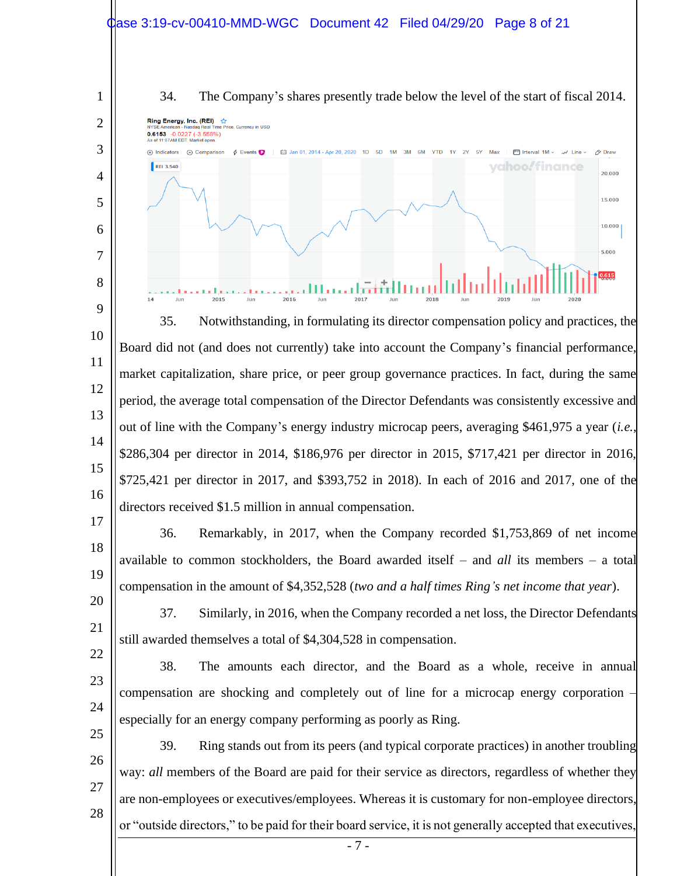## Case 3:19-cv-00410-MMD-WGC Document 42 Filed 04/29/20 Page 8 of 21



34. The Company's shares presently trade below the level of the start of fiscal 2014.



15 16 \$286,304 per director in 2014, \$186,976 per director in 2015, \$717,421 per director in 2016, \$725,421 per director in 2017, and \$393,752 in 2018). In each of 2016 and 2017, one of the directors received \$1.5 million in annual compensation.

17 18 19 36. Remarkably, in 2017, when the Company recorded \$1,753,869 of net income available to common stockholders, the Board awarded itself – and *all* its members – a total compensation in the amount of \$4,352,528 (*two and a half times Ring's net income that year*).

20 21 22 37. Similarly, in 2016, when the Company recorded a net loss, the Director Defendants still awarded themselves a total of \$4,304,528 in compensation.

23

24

38. The amounts each director, and the Board as a whole, receive in annual compensation are shocking and completely out of line for a microcap energy corporation – especially for an energy company performing as poorly as Ring.

25 26 27 28 39. Ring stands out from its peers (and typical corporate practices) in another troubling way: *all* members of the Board are paid for their service as directors, regardless of whether they are non-employees or executives/employees. Whereas it is customary for non-employee directors, or "outside directors," to be paid for their board service, it is not generally accepted that executives,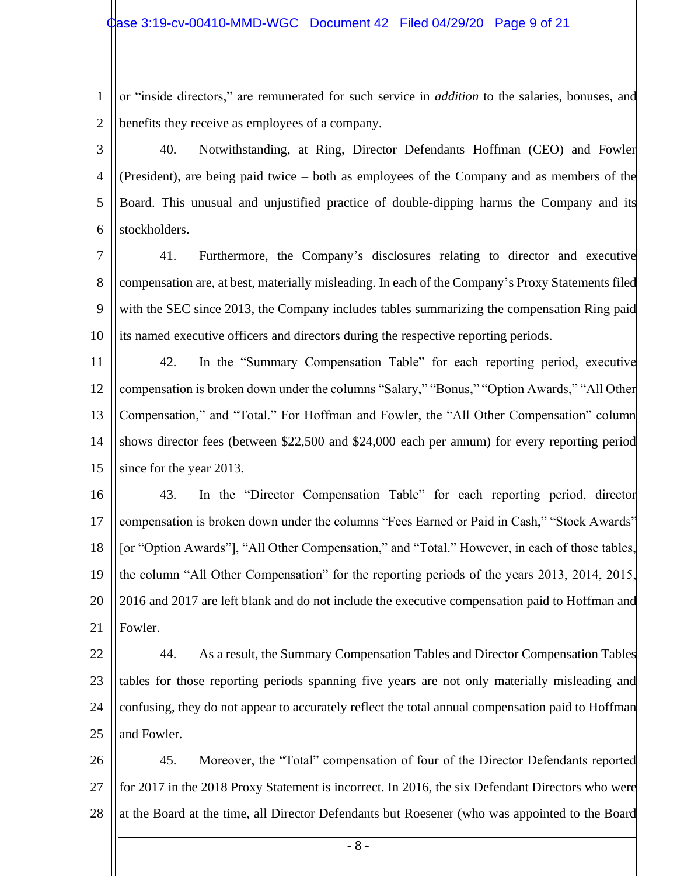1 2 or "inside directors," are remunerated for such service in *addition* to the salaries, bonuses, and benefits they receive as employees of a company.

3

4 5 6 40. Notwithstanding, at Ring, Director Defendants Hoffman (CEO) and Fowler (President), are being paid twice – both as employees of the Company and as members of the Board. This unusual and unjustified practice of double-dipping harms the Company and its stockholders.

7 8 9 10 41. Furthermore, the Company's disclosures relating to director and executive compensation are, at best, materially misleading. In each of the Company's Proxy Statements filed with the SEC since 2013, the Company includes tables summarizing the compensation Ring paid its named executive officers and directors during the respective reporting periods.

11 12 13 14 15 42. In the "Summary Compensation Table" for each reporting period, executive compensation is broken down under the columns "Salary," "Bonus," "Option Awards," "All Other Compensation," and "Total." For Hoffman and Fowler, the "All Other Compensation" column shows director fees (between \$22,500 and \$24,000 each per annum) for every reporting period since for the year 2013.

16 17 18 19 20 21 43. In the "Director Compensation Table" for each reporting period, director compensation is broken down under the columns "Fees Earned or Paid in Cash," "Stock Awards" [or "Option Awards"], "All Other Compensation," and "Total." However, in each of those tables, the column "All Other Compensation" for the reporting periods of the years 2013, 2014, 2015, 2016 and 2017 are left blank and do not include the executive compensation paid to Hoffman and Fowler.

22 23 24 25 44. As a result, the Summary Compensation Tables and Director Compensation Tables tables for those reporting periods spanning five years are not only materially misleading and confusing, they do not appear to accurately reflect the total annual compensation paid to Hoffman and Fowler.

26 27 28 45. Moreover, the "Total" compensation of four of the Director Defendants reported for 2017 in the 2018 Proxy Statement is incorrect. In 2016, the six Defendant Directors who were at the Board at the time, all Director Defendants but Roesener (who was appointed to the Board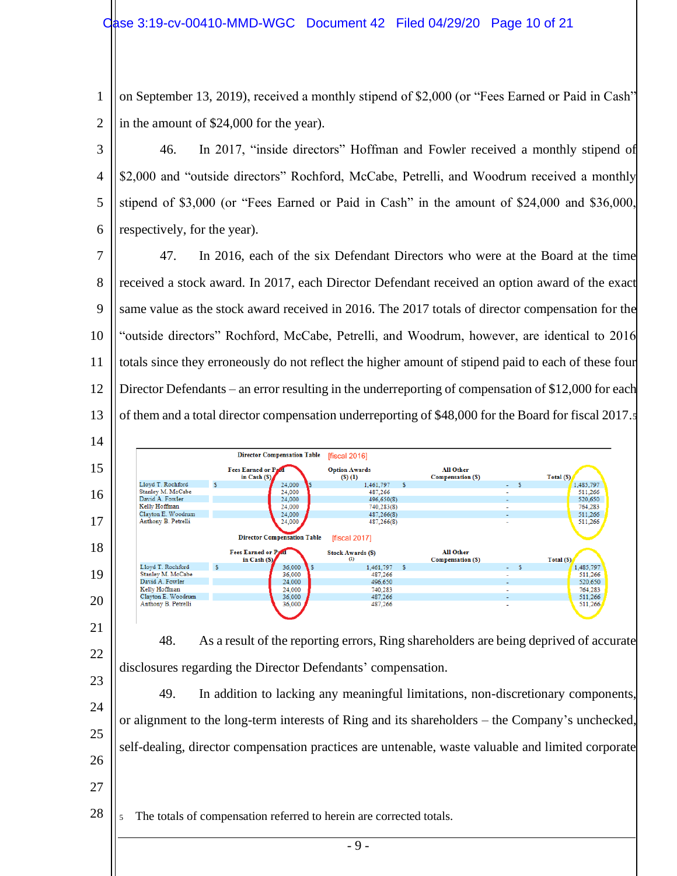1 2 on September 13, 2019), received a monthly stipend of \$2,000 (or "Fees Earned or Paid in Cash" in the amount of \$24,000 for the year).

3 4 5 6 46. In 2017, "inside directors" Hoffman and Fowler received a monthly stipend of \$2,000 and "outside directors" Rochford, McCabe, Petrelli, and Woodrum received a monthly stipend of \$3,000 (or "Fees Earned or Paid in Cash" in the amount of \$24,000 and \$36,000, respectively, for the year).

7 8 9 10 11 12 13 47. In 2016, each of the six Defendant Directors who were at the Board at the time received a stock award. In 2017, each Director Defendant received an option award of the exact same value as the stock award received in 2016. The 2017 totals of director compensation for the "outside directors" Rochford, McCabe, Petrelli, and Woodrum, however, are identical to 2016 totals since they erroneously do not reflect the higher amount of stipend paid to each of these four Director Defendants – an error resulting in the underreporting of compensation of \$12,000 for each of them and a total director compensation underreporting of \$48,000 for the Board for fiscal 2017.<sup>5</sup>

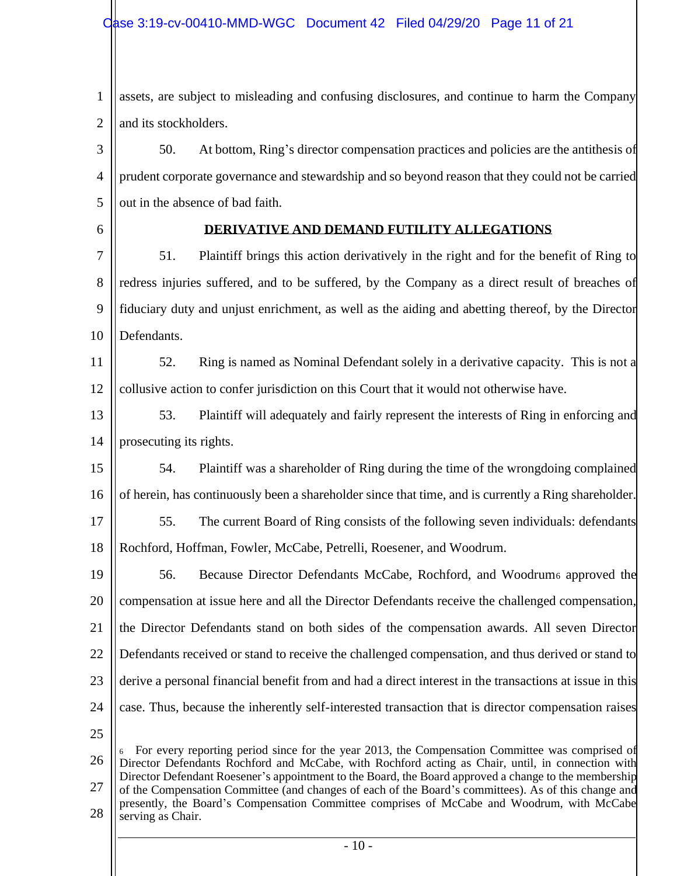1 2 assets, are subject to misleading and confusing disclosures, and continue to harm the Company and its stockholders.

3 4 5 50. At bottom, Ring's director compensation practices and policies are the antithesis of prudent corporate governance and stewardship and so beyond reason that they could not be carried out in the absence of bad faith.

6

## **DERIVATIVE AND DEMAND FUTILITY ALLEGATIONS**

7 8 9 10 51. Plaintiff brings this action derivatively in the right and for the benefit of Ring to redress injuries suffered, and to be suffered, by the Company as a direct result of breaches of fiduciary duty and unjust enrichment, as well as the aiding and abetting thereof, by the Director Defendants.

11 12 52. Ring is named as Nominal Defendant solely in a derivative capacity. This is not a collusive action to confer jurisdiction on this Court that it would not otherwise have.

13 14 53. Plaintiff will adequately and fairly represent the interests of Ring in enforcing and prosecuting its rights.

15 16 54. Plaintiff was a shareholder of Ring during the time of the wrongdoing complained of herein, has continuously been a shareholder since that time, and is currently a Ring shareholder.

17 18 55. The current Board of Ring consists of the following seven individuals: defendants Rochford, Hoffman, Fowler, McCabe, Petrelli, Roesener, and Woodrum.

19 20 21 22 23 24 25 56. Because Director Defendants McCabe, Rochford, and Woodrum<sub>6</sub> approved the compensation at issue here and all the Director Defendants receive the challenged compensation, the Director Defendants stand on both sides of the compensation awards. All seven Director Defendants received or stand to receive the challenged compensation, and thus derived or stand to derive a personal financial benefit from and had a direct interest in the transactions at issue in this case. Thus, because the inherently self-interested transaction that is director compensation raises

26 27 28 <sup>6</sup> For every reporting period since for the year 2013, the Compensation Committee was comprised of Director Defendants Rochford and McCabe, with Rochford acting as Chair, until, in connection with Director Defendant Roesener's appointment to the Board, the Board approved a change to the membership of the Compensation Committee (and changes of each of the Board's committees). As of this change and presently, the Board's Compensation Committee comprises of McCabe and Woodrum, with McCabe serving as Chair.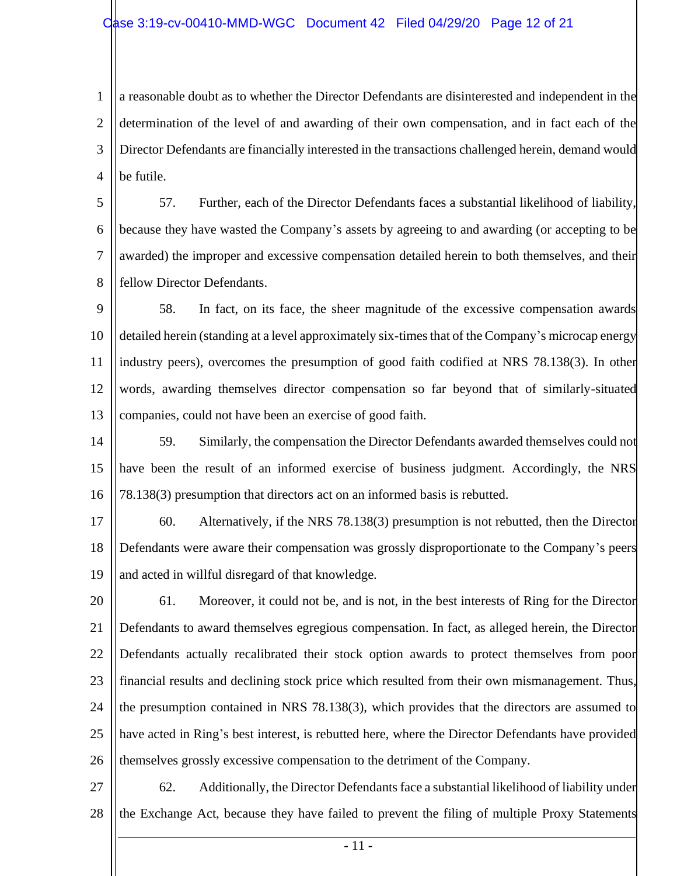1 2 3 4 a reasonable doubt as to whether the Director Defendants are disinterested and independent in the determination of the level of and awarding of their own compensation, and in fact each of the Director Defendants are financially interested in the transactions challenged herein, demand would be futile.

5 6 7 8 57. Further, each of the Director Defendants faces a substantial likelihood of liability, because they have wasted the Company's assets by agreeing to and awarding (or accepting to be awarded) the improper and excessive compensation detailed herein to both themselves, and their fellow Director Defendants.

9 10 11 12 13 58. In fact, on its face, the sheer magnitude of the excessive compensation awards detailed herein (standing at a level approximately six-times that of the Company's microcap energy industry peers), overcomes the presumption of good faith codified at NRS 78.138(3). In other words, awarding themselves director compensation so far beyond that of similarly-situated companies, could not have been an exercise of good faith.

14 15 16 59. Similarly, the compensation the Director Defendants awarded themselves could not have been the result of an informed exercise of business judgment. Accordingly, the NRS 78.138(3) presumption that directors act on an informed basis is rebutted.

17 18 19 60. Alternatively, if the NRS 78.138(3) presumption is not rebutted, then the Director Defendants were aware their compensation was grossly disproportionate to the Company's peers and acted in willful disregard of that knowledge.

20 21 22 23 24 25 26 61. Moreover, it could not be, and is not, in the best interests of Ring for the Director Defendants to award themselves egregious compensation. In fact, as alleged herein, the Director Defendants actually recalibrated their stock option awards to protect themselves from poor financial results and declining stock price which resulted from their own mismanagement. Thus, the presumption contained in NRS 78.138(3), which provides that the directors are assumed to have acted in Ring's best interest, is rebutted here, where the Director Defendants have provided themselves grossly excessive compensation to the detriment of the Company.

27 28 62. Additionally, the Director Defendants face a substantial likelihood of liability under the Exchange Act, because they have failed to prevent the filing of multiple Proxy Statements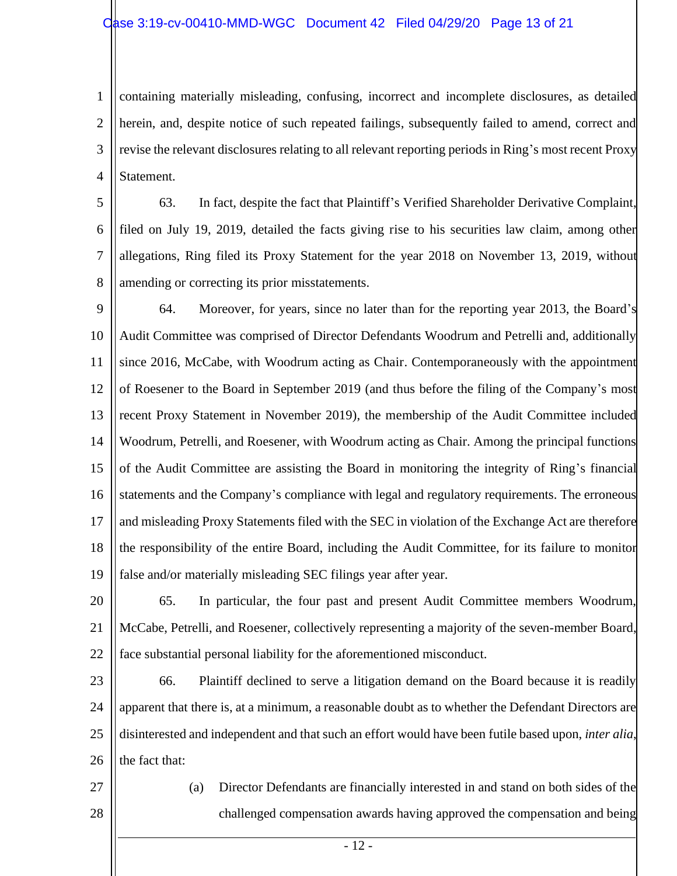1 2 3 4 containing materially misleading, confusing, incorrect and incomplete disclosures, as detailed herein, and, despite notice of such repeated failings, subsequently failed to amend, correct and revise the relevant disclosures relating to all relevant reporting periods in Ring's most recent Proxy Statement.

5 6 7 8 63. In fact, despite the fact that Plaintiff's Verified Shareholder Derivative Complaint, filed on July 19, 2019, detailed the facts giving rise to his securities law claim, among other allegations, Ring filed its Proxy Statement for the year 2018 on November 13, 2019, without amending or correcting its prior misstatements.

9 10 11 12 13 14 15 16 17 18 19 64. Moreover, for years, since no later than for the reporting year 2013, the Board's Audit Committee was comprised of Director Defendants Woodrum and Petrelli and, additionally since 2016, McCabe, with Woodrum acting as Chair. Contemporaneously with the appointment of Roesener to the Board in September 2019 (and thus before the filing of the Company's most recent Proxy Statement in November 2019), the membership of the Audit Committee included Woodrum, Petrelli, and Roesener, with Woodrum acting as Chair. Among the principal functions of the Audit Committee are assisting the Board in monitoring the integrity of Ring's financial statements and the Company's compliance with legal and regulatory requirements. The erroneous and misleading Proxy Statements filed with the SEC in violation of the Exchange Act are therefore the responsibility of the entire Board, including the Audit Committee, for its failure to monitor false and/or materially misleading SEC filings year after year.

20 21 22 65. In particular, the four past and present Audit Committee members Woodrum, McCabe, Petrelli, and Roesener, collectively representing a majority of the seven-member Board, face substantial personal liability for the aforementioned misconduct.

23 24 25 26 66. Plaintiff declined to serve a litigation demand on the Board because it is readily apparent that there is, at a minimum, a reasonable doubt as to whether the Defendant Directors are disinterested and independent and that such an effort would have been futile based upon, *inter alia*, the fact that:

27 28 (a) Director Defendants are financially interested in and stand on both sides of the challenged compensation awards having approved the compensation and being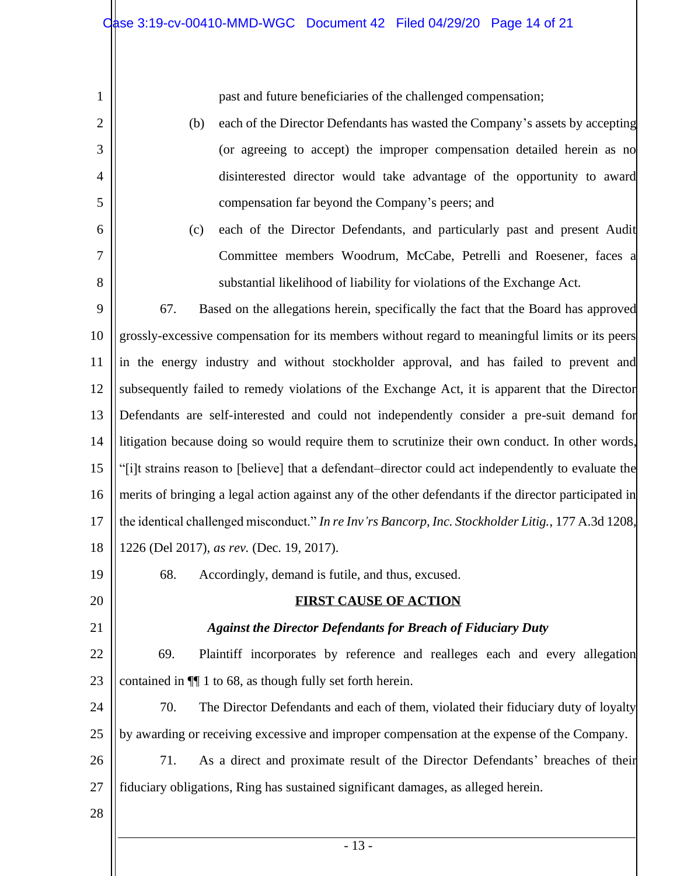past and future beneficiaries of the challenged compensation;

- (b) each of the Director Defendants has wasted the Company's assets by accepting (or agreeing to accept) the improper compensation detailed herein as no disinterested director would take advantage of the opportunity to award compensation far beyond the Company's peers; and
- (c) each of the Director Defendants, and particularly past and present Audit Committee members Woodrum, McCabe, Petrelli and Roesener, faces a substantial likelihood of liability for violations of the Exchange Act.

9 10 11 12 13 14 15 16 17 18 67. Based on the allegations herein, specifically the fact that the Board has approved grossly-excessive compensation for its members without regard to meaningful limits or its peers in the energy industry and without stockholder approval, and has failed to prevent and subsequently failed to remedy violations of the Exchange Act, it is apparent that the Director Defendants are self-interested and could not independently consider a pre-suit demand for litigation because doing so would require them to scrutinize their own conduct. In other words, "[i]t strains reason to [believe] that a defendant–director could act independently to evaluate the merits of bringing a legal action against any of the other defendants if the director participated in the identical challenged misconduct." *In re Inv'rs Bancorp, Inc. Stockholder Litig.*, 177 A.3d 1208, 1226 (Del 2017), *as rev.* (Dec. 19, 2017).

19

20

21

1

2

3

4

5

6

7

8

# **FIRST CAUSE OF ACTION**

68. Accordingly, demand is futile, and thus, excused.

## *Against the Director Defendants for Breach of Fiduciary Duty*

22 23 69. Plaintiff incorporates by reference and realleges each and every allegation contained in ¶¶ 1 to 68, as though fully set forth herein.

24 25 70. The Director Defendants and each of them, violated their fiduciary duty of loyalty by awarding or receiving excessive and improper compensation at the expense of the Company.

26 27 71. As a direct and proximate result of the Director Defendants' breaches of their fiduciary obligations, Ring has sustained significant damages, as alleged herein.

28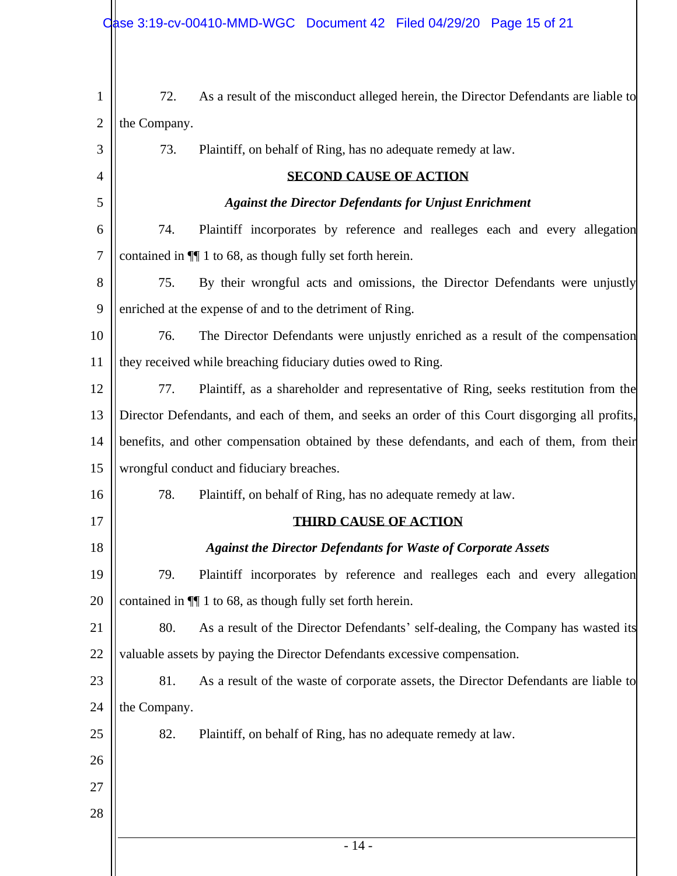| $\mathbf{1}$   | 72.                                                          | As a result of the misconduct alleged herein, the Director Defendants are liable to             |
|----------------|--------------------------------------------------------------|-------------------------------------------------------------------------------------------------|
| $\overline{2}$ | the Company.                                                 |                                                                                                 |
| 3              | 73.                                                          | Plaintiff, on behalf of Ring, has no adequate remedy at law.                                    |
| 4              |                                                              | <b>SECOND CAUSE OF ACTION</b>                                                                   |
| 5              |                                                              | <b>Against the Director Defendants for Unjust Enrichment</b>                                    |
| 6              | 74.                                                          | Plaintiff incorporates by reference and realleges each and every allegation                     |
| $\tau$         | contained in $\P$ 1 to 68, as though fully set forth herein. |                                                                                                 |
| 8              | 75.                                                          | By their wrongful acts and omissions, the Director Defendants were unjustly                     |
| 9              |                                                              | enriched at the expense of and to the detriment of Ring.                                        |
| 10             | 76.                                                          | The Director Defendants were unjustly enriched as a result of the compensation                  |
| 11             |                                                              | they received while breaching fiduciary duties owed to Ring.                                    |
| 12             | 77.                                                          | Plaintiff, as a shareholder and representative of Ring, seeks restitution from the              |
| 13             |                                                              | Director Defendants, and each of them, and seeks an order of this Court disgorging all profits, |
| 14             |                                                              | benefits, and other compensation obtained by these defendants, and each of them, from their     |
| 15             | wrongful conduct and fiduciary breaches.                     |                                                                                                 |
| 16             | 78.                                                          | Plaintiff, on behalf of Ring, has no adequate remedy at law.                                    |
| 17             |                                                              | <b>THIRD CAUSE OF ACTION</b>                                                                    |
| 18             |                                                              | <b>Against the Director Defendants for Waste of Corporate Assets</b>                            |
| 19             | 79.                                                          | Plaintiff incorporates by reference and realleges each and every allegation                     |
| 20             |                                                              | contained in $\P$ 1 to 68, as though fully set forth herein.                                    |
| 21             | 80.                                                          | As a result of the Director Defendants' self-dealing, the Company has wasted its                |
| 22             |                                                              | valuable assets by paying the Director Defendants excessive compensation.                       |
| 23             | 81.                                                          | As a result of the waste of corporate assets, the Director Defendants are liable to             |
| 24             | the Company.                                                 |                                                                                                 |
| 25             | 82.                                                          | Plaintiff, on behalf of Ring, has no adequate remedy at law.                                    |
| 26             |                                                              |                                                                                                 |
| 27             |                                                              |                                                                                                 |
| 28             |                                                              |                                                                                                 |
|                |                                                              | $-14-$                                                                                          |
|                |                                                              |                                                                                                 |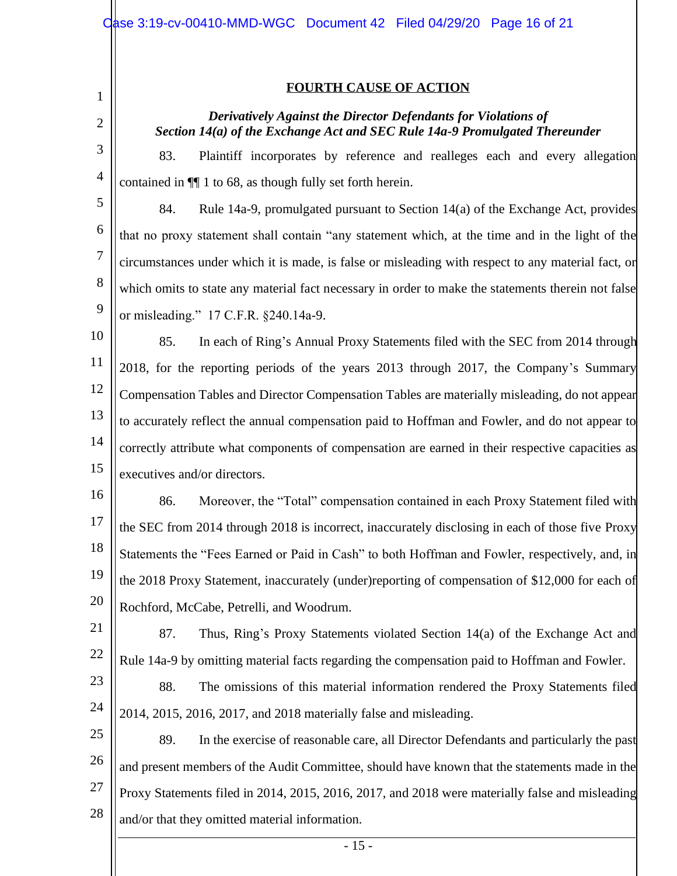1

2

#### **FOURTH CAUSE OF ACTION**

## *Derivatively Against the Director Defendants for Violations of Section 14(a) of the Exchange Act and SEC Rule 14a-9 Promulgated Thereunder*

3 4 83. Plaintiff incorporates by reference and realleges each and every allegation contained in ¶¶ 1 to 68, as though fully set forth herein.

5 6 7 8 9 84. Rule 14a-9, promulgated pursuant to Section 14(a) of the Exchange Act, provides that no proxy statement shall contain "any statement which, at the time and in the light of the circumstances under which it is made, is false or misleading with respect to any material fact, or which omits to state any material fact necessary in order to make the statements therein not false or misleading." 17 C.F.R. §240.14a-9.

10 11 12 13 14 15 85. In each of Ring's Annual Proxy Statements filed with the SEC from 2014 through 2018, for the reporting periods of the years 2013 through 2017, the Company's Summary Compensation Tables and Director Compensation Tables are materially misleading, do not appear to accurately reflect the annual compensation paid to Hoffman and Fowler, and do not appear to correctly attribute what components of compensation are earned in their respective capacities as executives and/or directors.

16 17 18 19 20 86. Moreover, the "Total" compensation contained in each Proxy Statement filed with the SEC from 2014 through 2018 is incorrect, inaccurately disclosing in each of those five Proxy Statements the "Fees Earned or Paid in Cash" to both Hoffman and Fowler, respectively, and, in the 2018 Proxy Statement, inaccurately (under)reporting of compensation of \$12,000 for each of Rochford, McCabe, Petrelli, and Woodrum.

- 21 22 87. Thus, Ring's Proxy Statements violated Section 14(a) of the Exchange Act and Rule 14a-9 by omitting material facts regarding the compensation paid to Hoffman and Fowler.
- 23 24 88. The omissions of this material information rendered the Proxy Statements filed 2014, 2015, 2016, 2017, and 2018 materially false and misleading.

25 26 27 28 89. In the exercise of reasonable care, all Director Defendants and particularly the past and present members of the Audit Committee, should have known that the statements made in the Proxy Statements filed in 2014, 2015, 2016, 2017, and 2018 were materially false and misleading and/or that they omitted material information.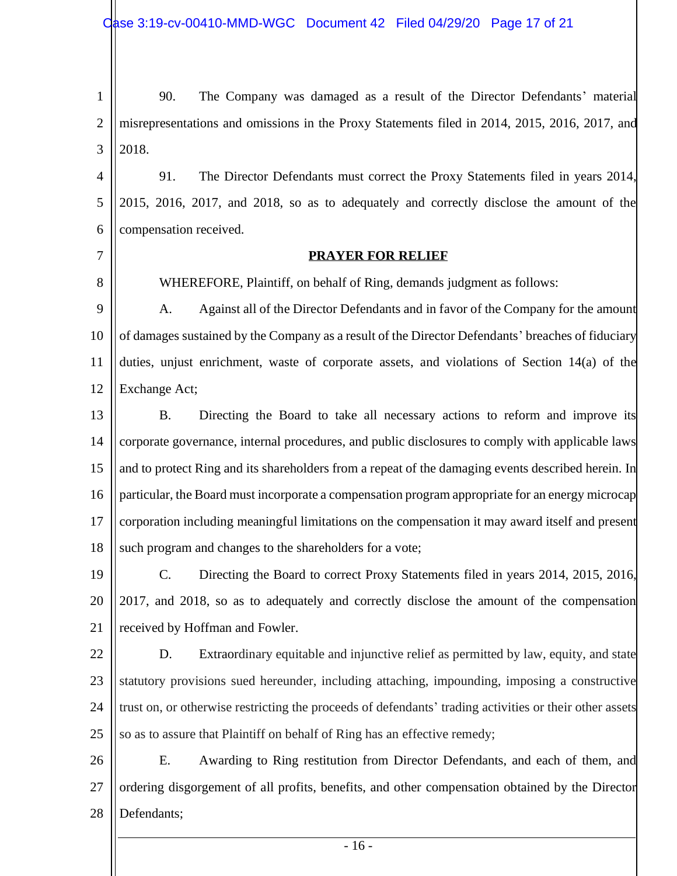1 2 3 90. The Company was damaged as a result of the Director Defendants' material misrepresentations and omissions in the Proxy Statements filed in 2014, 2015, 2016, 2017, and 2018.

4 5 6 91. The Director Defendants must correct the Proxy Statements filed in years 2014, 2015, 2016, 2017, and 2018, so as to adequately and correctly disclose the amount of the compensation received.

# 7

8

#### **PRAYER FOR RELIEF**

WHEREFORE, Plaintiff, on behalf of Ring, demands judgment as follows:

9 10 11 12 A. Against all of the Director Defendants and in favor of the Company for the amount of damages sustained by the Company as a result of the Director Defendants' breaches of fiduciary duties, unjust enrichment, waste of corporate assets, and violations of Section 14(a) of the Exchange Act;

13 14 15 16 17 18 B. Directing the Board to take all necessary actions to reform and improve its corporate governance, internal procedures, and public disclosures to comply with applicable laws and to protect Ring and its shareholders from a repeat of the damaging events described herein. In particular, the Board must incorporate a compensation program appropriate for an energy microcap corporation including meaningful limitations on the compensation it may award itself and present such program and changes to the shareholders for a vote;

19 20 21 C. Directing the Board to correct Proxy Statements filed in years 2014, 2015, 2016, 2017, and 2018, so as to adequately and correctly disclose the amount of the compensation received by Hoffman and Fowler.

22 23 24 25 D. Extraordinary equitable and injunctive relief as permitted by law, equity, and state statutory provisions sued hereunder, including attaching, impounding, imposing a constructive trust on, or otherwise restricting the proceeds of defendants' trading activities or their other assets so as to assure that Plaintiff on behalf of Ring has an effective remedy;

26 27 28 E. Awarding to Ring restitution from Director Defendants, and each of them, and ordering disgorgement of all profits, benefits, and other compensation obtained by the Director Defendants;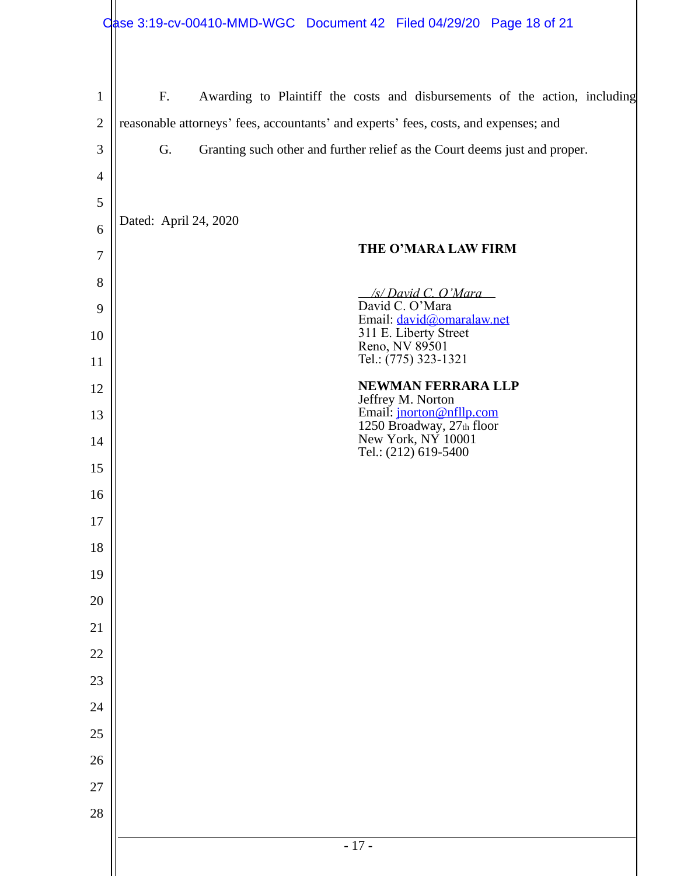| $\mathbf{1}$   | F.                    | Awarding to Plaintiff the costs and disbursements of the action, including           |
|----------------|-----------------------|--------------------------------------------------------------------------------------|
| $\overline{2}$ |                       | reasonable attorneys' fees, accountants' and experts' fees, costs, and expenses; and |
| 3              | G.                    | Granting such other and further relief as the Court deems just and proper.           |
| 4              |                       |                                                                                      |
| 5              |                       |                                                                                      |
| 6              | Dated: April 24, 2020 |                                                                                      |
| $\overline{7}$ |                       | THE O'MARA LAW FIRM                                                                  |
| 8              |                       | /s/ David C. O'Mara                                                                  |
| 9              |                       | David C. O'Mara<br>Email: david@omaralaw.net                                         |
| 10             |                       | 311 E. Liberty Street<br>Reno, NV 89501                                              |
| 11             |                       | Tel.: (775) 323-1321                                                                 |
| 12             |                       | <b>NEWMAN FERRARA LLP</b><br>Jeffrey M. Norton                                       |
| 13             |                       | Email: jnorton@nfllp.com<br>1250 Broadway, 27th floor                                |
| 14             |                       | New York, NY 10001<br>Tel.: (212) 619-5400                                           |
| 15             |                       |                                                                                      |
| 16             |                       |                                                                                      |
| 17             |                       |                                                                                      |
| 18             |                       |                                                                                      |
| 19             |                       |                                                                                      |
| 20             |                       |                                                                                      |
| 21             |                       |                                                                                      |
| 22             |                       |                                                                                      |
| 23             |                       |                                                                                      |
| 24             |                       |                                                                                      |
| 25             |                       |                                                                                      |
| 26             |                       |                                                                                      |
| 27             |                       |                                                                                      |
| 28             |                       |                                                                                      |
|                |                       | $-17-$                                                                               |
|                |                       |                                                                                      |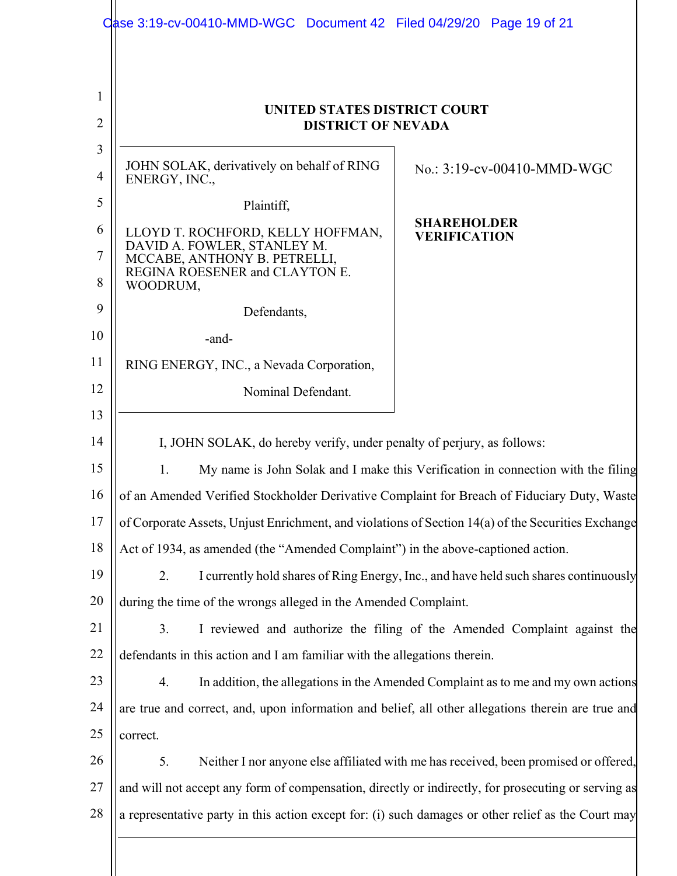| UNITED STATES DISTRICT COURT                                                                                                                                                                |                                                                          |  |
|---------------------------------------------------------------------------------------------------------------------------------------------------------------------------------------------|--------------------------------------------------------------------------|--|
| <b>DISTRICT OF NEVADA</b>                                                                                                                                                                   |                                                                          |  |
| JOHN SOLAK, derivatively on behalf of RING<br>ENERGY, INC.,                                                                                                                                 | No.: 3:19-cv-00410-MMD-WGC                                               |  |
| Plaintiff,                                                                                                                                                                                  |                                                                          |  |
| <b>SHAREHOLDER</b><br>LLOYD T. ROCHFORD, KELLY HOFFMAN,<br><b>VERIFICATION</b><br>DAVID A. FOWLER, STANLEY M.<br>MCCABE, ANTHONY B. PETRELLI,<br>REGINA ROESENER and CLAYTON E.<br>WOODRUM, |                                                                          |  |
| Defendants,                                                                                                                                                                                 |                                                                          |  |
| -and-                                                                                                                                                                                       |                                                                          |  |
| RING ENERGY, INC., a Nevada Corporation,                                                                                                                                                    |                                                                          |  |
| Nominal Defendant.                                                                                                                                                                          |                                                                          |  |
|                                                                                                                                                                                             |                                                                          |  |
| I, JOHN SOLAK, do hereby verify, under penalty of perjury, as follows:                                                                                                                      |                                                                          |  |
| My name is John Solak and I make this Verification in connection with the filing<br>$1_{\cdot}$                                                                                             |                                                                          |  |
| of an Amended Verified Stockholder Derivative Complaint for Breach of Fiduciary Duty, Waste                                                                                                 |                                                                          |  |
| of Corporate Assets, Unjust Enrichment, and violations of Section 14(a) of the Securities Exchange                                                                                          |                                                                          |  |
| Act of 1934, as amended (the "Amended Complaint") in the above-captioned action.                                                                                                            |                                                                          |  |
| I currently hold shares of Ring Energy, Inc., and have held such shares continuously<br>2.                                                                                                  |                                                                          |  |
| during the time of the wrongs alleged in the Amended Complaint.                                                                                                                             |                                                                          |  |
| 3.                                                                                                                                                                                          | I reviewed and authorize the filing of the Amended Complaint against the |  |
| defendants in this action and I am familiar with the allegations therein.                                                                                                                   |                                                                          |  |
| 4.<br>In addition, the allegations in the Amended Complaint as to me and my own actions                                                                                                     |                                                                          |  |
| are true and correct, and, upon information and belief, all other allegations therein are true and                                                                                          |                                                                          |  |
| correct.                                                                                                                                                                                    |                                                                          |  |
| Neither I nor anyone else affiliated with me has received, been promised or offered,<br>5.                                                                                                  |                                                                          |  |
| and will not accept any form of compensation, directly or indirectly, for prosecuting or serving as                                                                                         |                                                                          |  |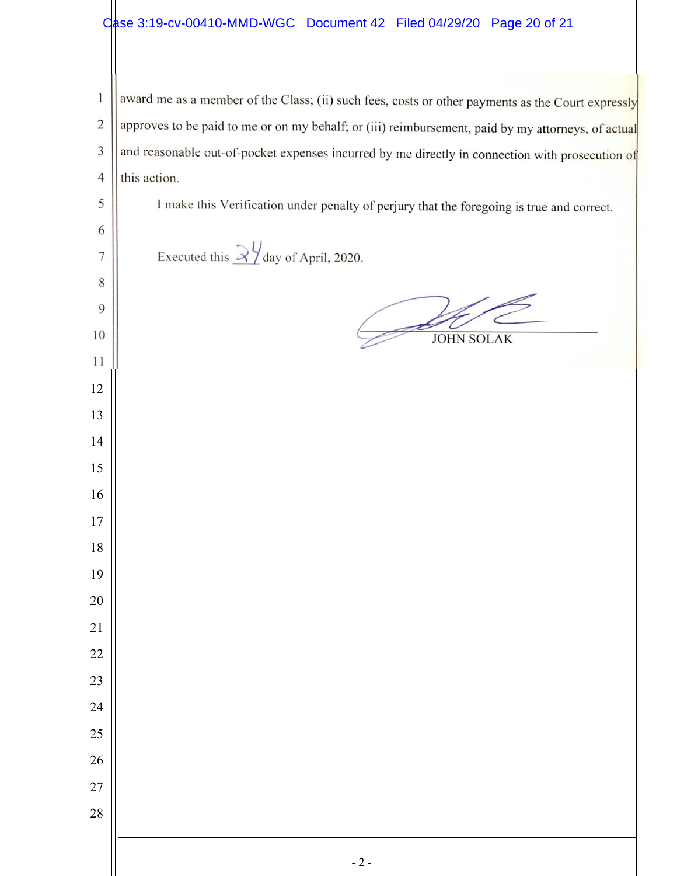## Case 3:19-cv-00410-MMD-WGC Document 42 Filed 04/29/20 Page 20 of 21

 award me as a member of the Class; (ii) such fees, costs or other payments as the Court expressly approves to be paid to me or on my behalf; or (iii) reimbursement, paid by my attorneys, of actual and reasonable out-of-pocket expenses incurred by me directly in connection with prosecution of this action. I make this Verification under penalty of perjury that the foregoing is true and correct. Executed this  $\frac{2\frac{1}{2}}{2}$  day of April, 2020. JOHN SOLAK